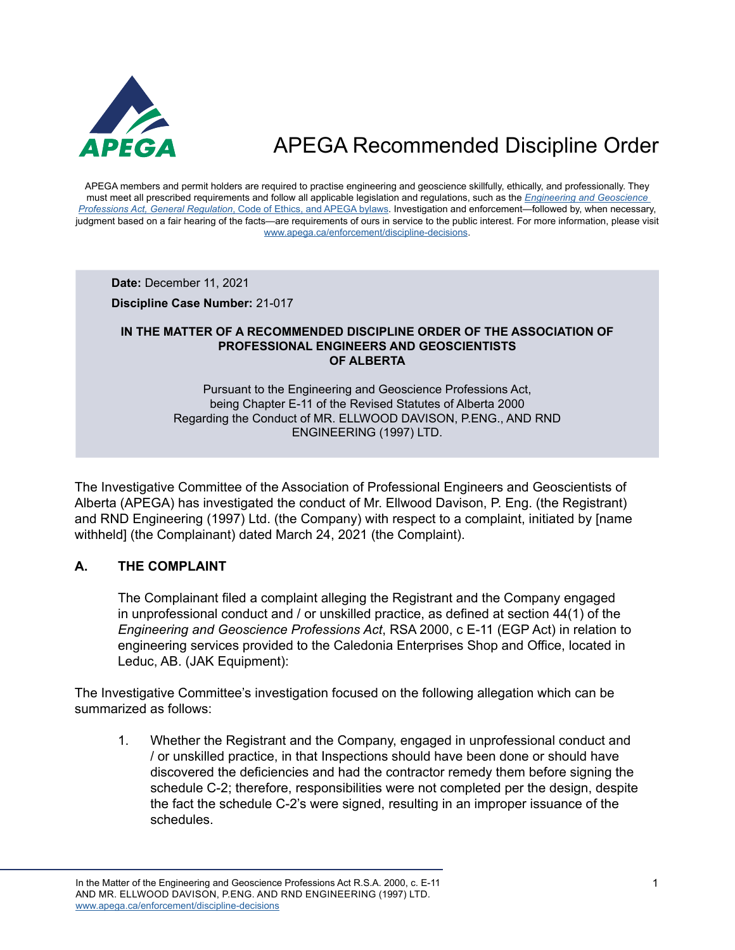

APEGA members and permit holders are required to practise engineering and geoscience skillfully, ethically, and professionally. They must meet all prescribed requirements and follow all applicable legislation and regulations, such as the *[Engineering and Geoscience](https://www.apega.ca/about-apega/publications/engineering-and-geoscience-professions-act)  Professions Act, General Regulation*[, Code of Ethics, and APEGA bylaws.](https://www.apega.ca/about-apega/publications/engineering-and-geoscience-professions-act) Investigation and enforcement—followed by, when necessary, judgment based on a fair hearing of the facts—are requirements of ours in service to the public interest. For more information, please visit [www.apega.ca/enforcement/discipline-decisions.](https://www.apega.ca/enforcement/discipline-decisions)

**Date:** December 11, 2021

**Discipline Case Number:** 21-017

#### **IN THE MATTER OF A RECOMMENDED DISCIPLINE ORDER OF THE ASSOCIATION OF PROFESSIONAL ENGINEERS AND GEOSCIENTISTS OF ALBERTA**

Pursuant to the Engineering and Geoscience Professions Act, being Chapter E-11 of the Revised Statutes of Alberta 2000 Regarding the Conduct of MR. ELLWOOD DAVISON, P.ENG., AND RND ENGINEERING (1997) LTD.

The Investigative Committee of the Association of Professional Engineers and Geoscientists of Alberta (APEGA) has investigated the conduct of Mr. Ellwood Davison, P. Eng. (the Registrant) and RND Engineering (1997) Ltd. (the Company) with respect to a complaint, initiated by [name withheld] (the Complainant) dated March 24, 2021 (the Complaint).

### **A. THE COMPLAINT**

The Complainant filed a complaint alleging the Registrant and the Company engaged in unprofessional conduct and / or unskilled practice, as defined at section 44(1) of the *Engineering and Geoscience Professions Act*, RSA 2000, c E-11 (EGP Act) in relation to engineering services provided to the Caledonia Enterprises Shop and Office, located in Leduc, AB. (JAK Equipment):

The Investigative Committee's investigation focused on the following allegation which can be summarized as follows:

1. Whether the Registrant and the Company, engaged in unprofessional conduct and / or unskilled practice, in that Inspections should have been done or should have discovered the deficiencies and had the contractor remedy them before signing the schedule C-2; therefore, responsibilities were not completed per the design, despite the fact the schedule C-2's were signed, resulting in an improper issuance of the schedules.

In the Matter of the Engineering and Geoscience Professions Act R.S.A. 2000, c. E-11 AND MR. ELLWOOD DAVISON, P.ENG. AND RND ENGINEERING (1997) LTD. [www.apega.ca/enforcement/discipline-decisions](https://www.apega.ca/enforcement/discipline-decisions)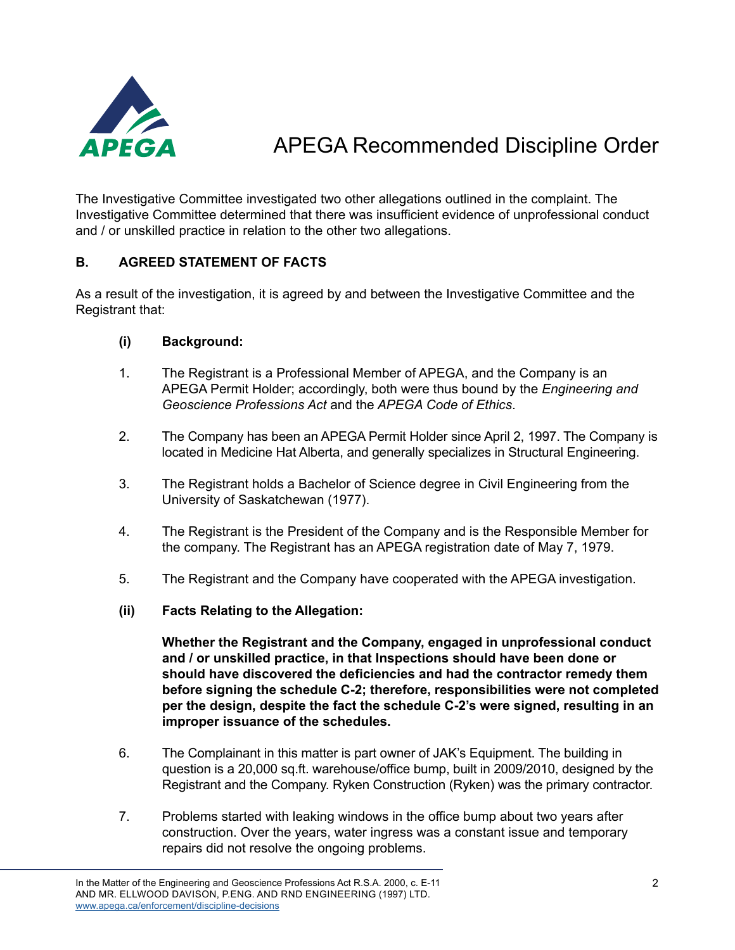

The Investigative Committee investigated two other allegations outlined in the complaint. The Investigative Committee determined that there was insufficient evidence of unprofessional conduct and / or unskilled practice in relation to the other two allegations.

#### **B. AGREED STATEMENT OF FACTS**

As a result of the investigation, it is agreed by and between the Investigative Committee and the Registrant that:

#### **(i) Background:**

- 1. The Registrant is a Professional Member of APEGA, and the Company is an APEGA Permit Holder; accordingly, both were thus bound by the *Engineering and Geoscience Professions Act* and the *APEGA Code of Ethics*.
- 2. The Company has been an APEGA Permit Holder since April 2, 1997. The Company is located in Medicine Hat Alberta, and generally specializes in Structural Engineering.
- 3. The Registrant holds a Bachelor of Science degree in Civil Engineering from the University of Saskatchewan (1977).
- 4. The Registrant is the President of the Company and is the Responsible Member for the company. The Registrant has an APEGA registration date of May 7, 1979.
- 5. The Registrant and the Company have cooperated with the APEGA investigation.
- **(ii) Facts Relating to the Allegation:**

**Whether the Registrant and the Company, engaged in unprofessional conduct and / or unskilled practice, in that Inspections should have been done or should have discovered the deficiencies and had the contractor remedy them before signing the schedule C-2; therefore, responsibilities were not completed per the design, despite the fact the schedule C-2's were signed, resulting in an improper issuance of the schedules.**

- 6. The Complainant in this matter is part owner of JAK's Equipment. The building in question is a 20,000 sq.ft. warehouse/office bump, built in 2009/2010, designed by the Registrant and the Company. Ryken Construction (Ryken) was the primary contractor.
- 7. Problems started with leaking windows in the office bump about two years after construction. Over the years, water ingress was a constant issue and temporary repairs did not resolve the ongoing problems.

In the Matter of the Engineering and Geoscience Professions Act R.S.A. 2000, c. E-11 AND MR. ELLWOOD DAVISON, P.ENG. AND RND ENGINEERING (1997) LTD. [www.apega.ca/enforcement/discipline-decisions](https://www.apega.ca/enforcement/discipline-decisions)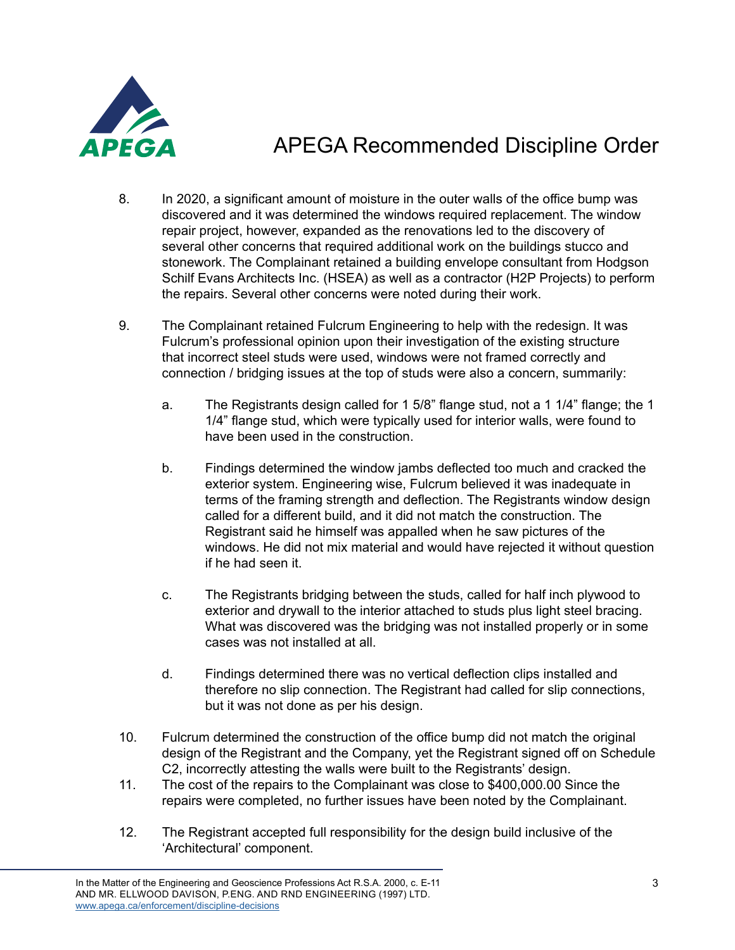

- 8. In 2020, a significant amount of moisture in the outer walls of the office bump was discovered and it was determined the windows required replacement. The window repair project, however, expanded as the renovations led to the discovery of several other concerns that required additional work on the buildings stucco and stonework. The Complainant retained a building envelope consultant from Hodgson Schilf Evans Architects Inc. (HSEA) as well as a contractor (H2P Projects) to perform the repairs. Several other concerns were noted during their work.
- 9. The Complainant retained Fulcrum Engineering to help with the redesign. It was Fulcrum's professional opinion upon their investigation of the existing structure that incorrect steel studs were used, windows were not framed correctly and connection / bridging issues at the top of studs were also a concern, summarily:
	- a. The Registrants design called for 1 5/8" flange stud, not a 1 1/4" flange; the 1 1/4" flange stud, which were typically used for interior walls, were found to have been used in the construction.
	- b. Findings determined the window jambs deflected too much and cracked the exterior system. Engineering wise, Fulcrum believed it was inadequate in terms of the framing strength and deflection. The Registrants window design called for a different build, and it did not match the construction. The Registrant said he himself was appalled when he saw pictures of the windows. He did not mix material and would have rejected it without question if he had seen it.
	- c. The Registrants bridging between the studs, called for half inch plywood to exterior and drywall to the interior attached to studs plus light steel bracing. What was discovered was the bridging was not installed properly or in some cases was not installed at all.
	- d. Findings determined there was no vertical deflection clips installed and therefore no slip connection. The Registrant had called for slip connections, but it was not done as per his design.
- 10. Fulcrum determined the construction of the office bump did not match the original design of the Registrant and the Company, yet the Registrant signed off on Schedule C2, incorrectly attesting the walls were built to the Registrants' design.
- 11. The cost of the repairs to the Complainant was close to \$400,000.00 Since the repairs were completed, no further issues have been noted by the Complainant.
- 12. The Registrant accepted full responsibility for the design build inclusive of the 'Architectural' component.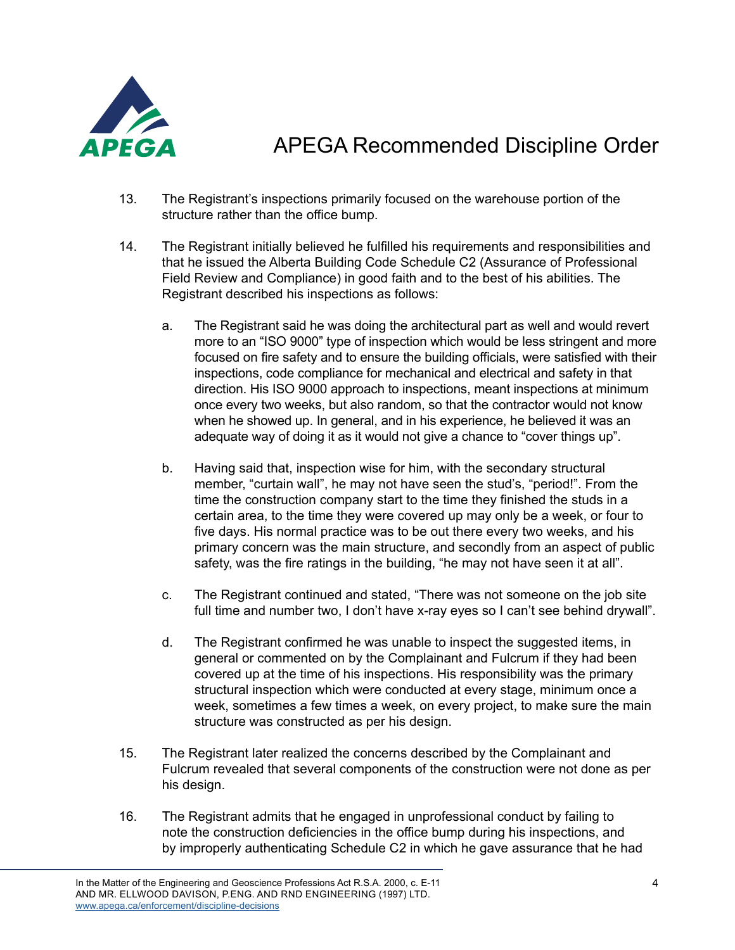

- 13. The Registrant's inspections primarily focused on the warehouse portion of the structure rather than the office bump.
- 14. The Registrant initially believed he fulfilled his requirements and responsibilities and that he issued the Alberta Building Code Schedule C2 (Assurance of Professional Field Review and Compliance) in good faith and to the best of his abilities. The Registrant described his inspections as follows:
	- a. The Registrant said he was doing the architectural part as well and would revert more to an "ISO 9000" type of inspection which would be less stringent and more focused on fire safety and to ensure the building officials, were satisfied with their inspections, code compliance for mechanical and electrical and safety in that direction. His ISO 9000 approach to inspections, meant inspections at minimum once every two weeks, but also random, so that the contractor would not know when he showed up. In general, and in his experience, he believed it was an adequate way of doing it as it would not give a chance to "cover things up".
	- b. Having said that, inspection wise for him, with the secondary structural member, "curtain wall", he may not have seen the stud's, "period!". From the time the construction company start to the time they finished the studs in a certain area, to the time they were covered up may only be a week, or four to five days. His normal practice was to be out there every two weeks, and his primary concern was the main structure, and secondly from an aspect of public safety, was the fire ratings in the building, "he may not have seen it at all".
	- c. The Registrant continued and stated, "There was not someone on the job site full time and number two, I don't have x-ray eyes so I can't see behind drywall".
	- d. The Registrant confirmed he was unable to inspect the suggested items, in general or commented on by the Complainant and Fulcrum if they had been covered up at the time of his inspections. His responsibility was the primary structural inspection which were conducted at every stage, minimum once a week, sometimes a few times a week, on every project, to make sure the main structure was constructed as per his design.
- 15. The Registrant later realized the concerns described by the Complainant and Fulcrum revealed that several components of the construction were not done as per his design.
- 16. The Registrant admits that he engaged in unprofessional conduct by failing to note the construction deficiencies in the office bump during his inspections, and by improperly authenticating Schedule C2 in which he gave assurance that he had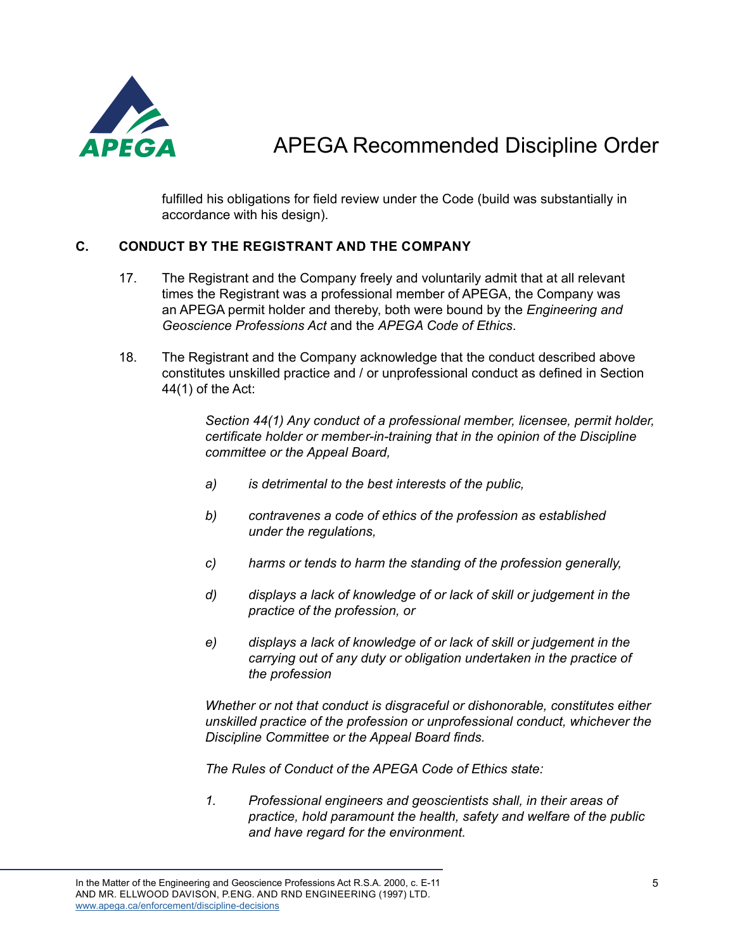

fulfilled his obligations for field review under the Code (build was substantially in accordance with his design).

#### **C. CONDUCT BY THE REGISTRANT AND THE COMPANY**

- 17. The Registrant and the Company freely and voluntarily admit that at all relevant times the Registrant was a professional member of APEGA, the Company was an APEGA permit holder and thereby, both were bound by the *Engineering and Geoscience Professions Act* and the *APEGA Code of Ethics*.
- 18. The Registrant and the Company acknowledge that the conduct described above constitutes unskilled practice and / or unprofessional conduct as defined in Section 44(1) of the Act:

*Section 44(1) Any conduct of a professional member, licensee, permit holder, certificate holder or member-in-training that in the opinion of the Discipline committee or the Appeal Board,*

- *a) is detrimental to the best interests of the public,*
- *b) contravenes a code of ethics of the profession as established under the regulations,*
- *c) harms or tends to harm the standing of the profession generally,*
- *d) displays a lack of knowledge of or lack of skill or judgement in the practice of the profession, or*
- *e) displays a lack of knowledge of or lack of skill or judgement in the carrying out of any duty or obligation undertaken in the practice of the profession*

*Whether or not that conduct is disgraceful or dishonorable, constitutes either unskilled practice of the profession or unprofessional conduct, whichever the Discipline Committee or the Appeal Board finds.*

*The Rules of Conduct of the APEGA Code of Ethics state:*

*1. Professional engineers and geoscientists shall, in their areas of practice, hold paramount the health, safety and welfare of the public and have regard for the environment.*

In the Matter of the Engineering and Geoscience Professions Act R.S.A. 2000, c. E-11 AND MR. ELLWOOD DAVISON, P.ENG. AND RND ENGINEERING (1997) LTD. [www.apega.ca/enforcement/discipline-decisions](https://www.apega.ca/enforcement/discipline-decisions)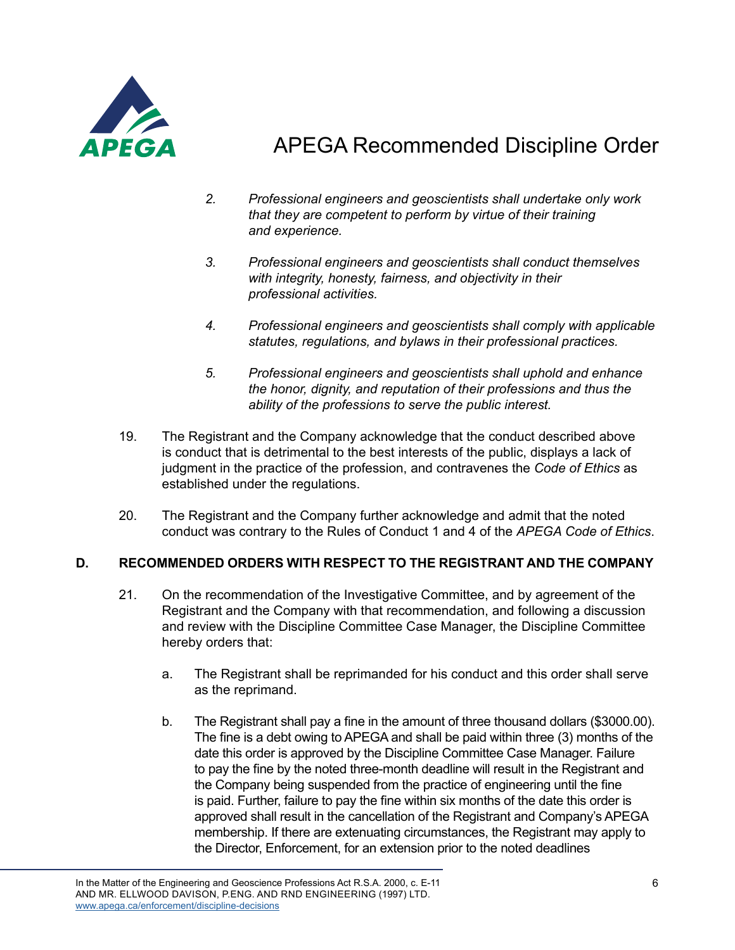

- *2. Professional engineers and geoscientists shall undertake only work that they are competent to perform by virtue of their training and experience.*
- *3. Professional engineers and geoscientists shall conduct themselves with integrity, honesty, fairness, and objectivity in their professional activities.*
- *4. Professional engineers and geoscientists shall comply with applicable statutes, regulations, and bylaws in their professional practices.*
- *5. Professional engineers and geoscientists shall uphold and enhance the honor, dignity, and reputation of their professions and thus the ability of the professions to serve the public interest.*
- 19. The Registrant and the Company acknowledge that the conduct described above is conduct that is detrimental to the best interests of the public, displays a lack of judgment in the practice of the profession, and contravenes the *Code of Ethics* as established under the regulations.
- 20. The Registrant and the Company further acknowledge and admit that the noted conduct was contrary to the Rules of Conduct 1 and 4 of the *APEGA Code of Ethics*.

### **D. RECOMMENDED ORDERS WITH RESPECT TO THE REGISTRANT AND THE COMPANY**

- 21. On the recommendation of the Investigative Committee, and by agreement of the Registrant and the Company with that recommendation, and following a discussion and review with the Discipline Committee Case Manager, the Discipline Committee hereby orders that:
	- a. The Registrant shall be reprimanded for his conduct and this order shall serve as the reprimand.
	- b. The Registrant shall pay a fine in the amount of three thousand dollars (\$3000.00). The fine is a debt owing to APEGA and shall be paid within three (3) months of the date this order is approved by the Discipline Committee Case Manager. Failure to pay the fine by the noted three-month deadline will result in the Registrant and the Company being suspended from the practice of engineering until the fine is paid. Further, failure to pay the fine within six months of the date this order is approved shall result in the cancellation of the Registrant and Company's APEGA membership. If there are extenuating circumstances, the Registrant may apply to the Director, Enforcement, for an extension prior to the noted deadlines